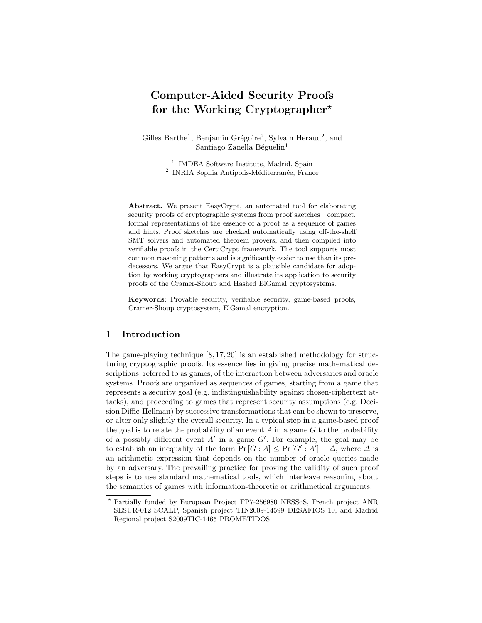# Computer-Aided Security Proofs for the Working Cryptographer<sup>\*</sup>

Gilles Barthe<sup>1</sup>, Benjamin Grégoire<sup>2</sup>, Sylvain Heraud<sup>2</sup>, and Santiago Zanella Béguelin<sup>1</sup>

> <sup>1</sup> IMDEA Software Institute, Madrid, Spain <sup>2</sup> INRIA Sophia Antipolis-Méditerranée, France

Abstract. We present EasyCrypt, an automated tool for elaborating security proofs of cryptographic systems from proof sketches—compact, formal representations of the essence of a proof as a sequence of games and hints. Proof sketches are checked automatically using off-the-shelf SMT solvers and automated theorem provers, and then compiled into verifiable proofs in the CertiCrypt framework. The tool supports most common reasoning patterns and is significantly easier to use than its predecessors. We argue that EasyCrypt is a plausible candidate for adoption by working cryptographers and illustrate its application to security proofs of the Cramer-Shoup and Hashed ElGamal cryptosystems.

Keywords: Provable security, verifiable security, game-based proofs, Cramer-Shoup cryptosystem, ElGamal encryption.

#### 1 Introduction

The game-playing technique [8, 17, 20] is an established methodology for structuring cryptographic proofs. Its essence lies in giving precise mathematical descriptions, referred to as games, of the interaction between adversaries and oracle systems. Proofs are organized as sequences of games, starting from a game that represents a security goal (e.g. indistinguishability against chosen-ciphertext attacks), and proceeding to games that represent security assumptions (e.g. Decision Diffie-Hellman) by successive transformations that can be shown to preserve, or alter only slightly the overall security. In a typical step in a game-based proof the goal is to relate the probability of an event  $A$  in a game  $G$  to the probability of a possibly different event  $A'$  in a game  $G'$ . For example, the goal may be to establish an inequality of the form  $Pr[G : A] \leq Pr[G' : A'] + \Delta$ , where  $\Delta$  is an arithmetic expression that depends on the number of oracle queries made by an adversary. The prevailing practice for proving the validity of such proof steps is to use standard mathematical tools, which interleave reasoning about the semantics of games with information-theoretic or arithmetical arguments.

<sup>⋆</sup> Partially funded by European Project FP7-256980 NESSoS, French project ANR SESUR-012 SCALP, Spanish project TIN2009-14599 DESAFIOS 10, and Madrid Regional project S2009TIC-1465 PROMETIDOS.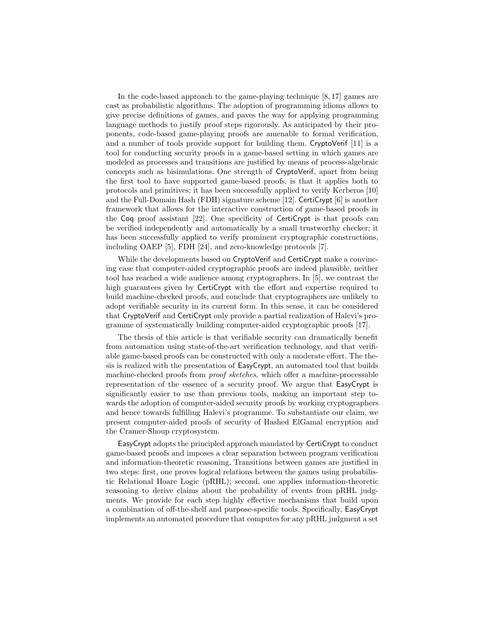In the code-based approach to the game-playing technique [8, 17] games are cast as probabilistic algorithms. The adoption of programming idioms allows to give precise definitions of games, and paves the way for applying programming language methods to justify proof steps rigorously. As anticipated by their proponents, code-based game-playing proofs are amenable to formal verification, and a number of tools provide support for building them. CryptoVerif [11] is a tool for conducting security proofs in a game-based setting in which games are modeled as processes and transitions are justified by means of process-algebraic concepts such as bisimulations. One strength of CryptoVerif, apart from being the first tool to have supported game-based proofs, is that it applies both to protocols and primitives; it has been successfully applied to verify Kerberos [10] and the Full-Domain Hash (FDH) signature scheme [12]. CertiCrypt [6] is another framework that allows for the interactive construction of game-based proofs in the Coq proof assistant [22]. One specificity of CertiCrypt is that proofs can be verified independently and automatically by a small trustworthy checker; it has been successfully applied to verify prominent cryptographic constructions, including OAEP [5], FDH [24], and zero-knowledge protocols [7].

While the developments based on CryptoVerif and CertiCrypt make a convincing case that computer-aided cryptographic proofs are indeed plausible, neither tool has reached a wide audience among cryptographers. In [5], we contrast the high guarantees given by CertiCrypt with the effort and expertise required to build machine-checked proofs, and conclude that cryptographers are unlikely to adopt verifiable security in its current form. In this sense, it can be considered that CryptoVerif and CertiCrypt only provide a partial realization of Halevi's programme of systematically building computer-aided cryptographic proofs [17].

The thesis of this article is that verifiable security can dramatically benefit from automation using state-of-the-art verification technology, and that verifiable game-based proofs can be constructed with only a moderate effort. The thesis is realized with the presentation of EasyCrypt, an automated tool that builds machine-checked proofs from *proof sketches*, which offer a machine-processable representation of the essence of a security proof. We argue that EasyCrypt is significantly easier to use than previous tools, making an important step towards the adoption of computer-aided security proofs by working cryptographers and hence towards fulfilling Halevi's programme. To substantiate our claim, we present computer-aided proofs of security of Hashed ElGamal encryption and the Cramer-Shoup cryptosystem.

EasyCrypt adopts the principled approach mandated by CertiCrypt to conduct game-based proofs and imposes a clear separation between program verification and information-theoretic reasoning. Transitions between games are justified in two steps: first, one proves logical relations between the games using probabilistic Relational Hoare Logic (pRHL); second, one applies information-theoretic reasoning to derive claims about the probability of events from pRHL judgments. We provide for each step highly effective mechanisms that build upon a combination of off-the-shelf and purpose-specific tools. Specifically, EasyCrypt implements an automated procedure that computes for any pRHL judgment a set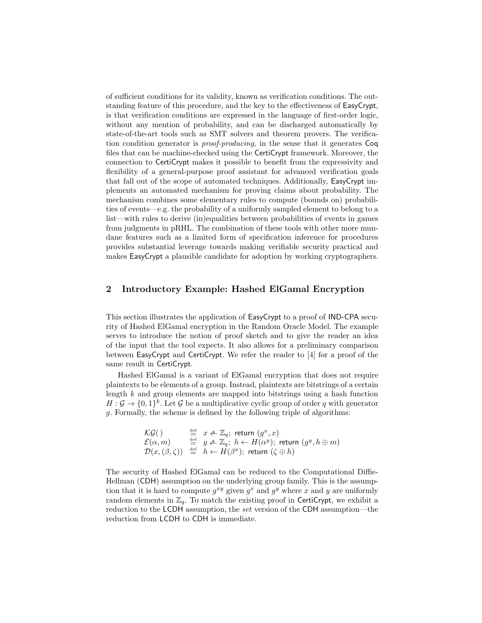of sufficient conditions for its validity, known as verification conditions. The outstanding feature of this procedure, and the key to the effectiveness of EasyCrypt, is that verification conditions are expressed in the language of first-order logic, without any mention of probability, and can be discharged automatically by state-of-the-art tools such as SMT solvers and theorem provers. The verification condition generator is proof-producing, in the sense that it generates Coq files that can be machine-checked using the CertiCrypt framework. Moreover, the connection to CertiCrypt makes it possible to benefit from the expressivity and flexibility of a general-purpose proof assistant for advanced verification goals that fall out of the scope of automated techniques. Additionally, EasyCrypt implements an automated mechanism for proving claims about probability. The mechanism combines some elementary rules to compute (bounds on) probabilities of events—e.g. the probability of a uniformly sampled element to belong to a list—with rules to derive (in)equalities between probabilities of events in games from judgments in pRHL. The combination of these tools with other more mundane features such as a limited form of specification inference for procedures provides substantial leverage towards making verifiable security practical and makes EasyCrypt a plausible candidate for adoption by working cryptographers.

### 2 Introductory Example: Hashed ElGamal Encryption

This section illustrates the application of EasyCrypt to a proof of IND-CPA security of Hashed ElGamal encryption in the Random Oracle Model. The example serves to introduce the notion of proof sketch and to give the reader an idea of the input that the tool expects. It also allows for a preliminary comparison between EasyCrypt and CertiCrypt. We refer the reader to [4] for a proof of the same result in CertiCrypt.

Hashed ElGamal is a variant of ElGamal encryption that does not require plaintexts to be elements of a group. Instead, plaintexts are bitstrings of a certain length  $k$  and group elements are mapped into bitstrings using a hash function  $H: \mathcal{G} \to \{0,1\}^k$ . Let  $\mathcal{G}$  be a multiplicative cyclic group of order q with generator g. Formally, the scheme is defined by the following triple of algorithms:

$$
\begin{array}{lll} \mathcal{KG}(\,) & \stackrel{\mathrm{def}}{=} & x \triangleq \mathbb{Z}_q; \; \mathsf{return} \; (g^x,x) \\ \mathcal{E}(\alpha,m) & \stackrel{\mathrm{def}}{=} & y \triangleq \mathbb{Z}_q; \; h \leftarrow H(\alpha^y); \; \mathsf{return} \; (g^y,h\oplus m) \\ \mathcal{D}(x,(\beta,\zeta)) & \stackrel{\mathrm{def}}{=} & h \leftarrow H(\beta^x); \; \mathsf{return} \; (\zeta\oplus h) \end{array}
$$

The security of Hashed ElGamal can be reduced to the Computational Diffie-Hellman (CDH) assumption on the underlying group family. This is the assumption that it is hard to compute  $g^{xy}$  given  $g^x$  and  $g^y$  where x and y are uniformly random elements in  $\mathbb{Z}_q$ . To match the existing proof in CertiCrypt, we exhibit a reduction to the LCDH assumption, the set version of the CDH assumption—the reduction from LCDH to CDH is immediate.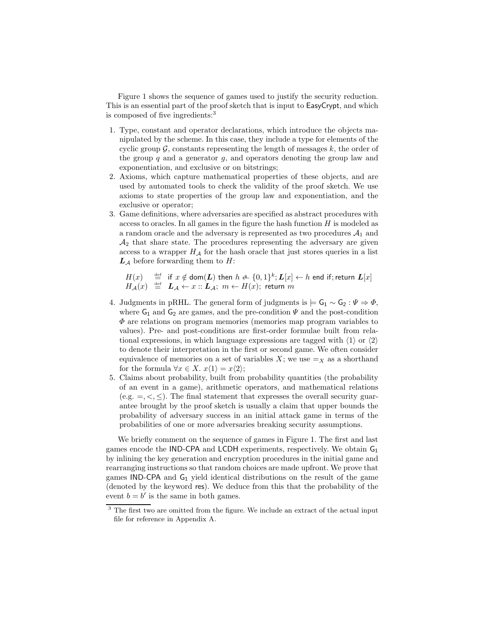Figure 1 shows the sequence of games used to justify the security reduction. This is an essential part of the proof sketch that is input to  $\textsf{EasyCrypt}$ , and which is composed of five ingredients:<sup>3</sup>

- 1. Type, constant and operator declarations, which introduce the objects manipulated by the scheme. In this case, they include a type for elements of the cyclic group  $\mathcal{G}$ , constants representing the length of messages k, the order of the group q and a generator q, and operators denoting the group law and exponentiation, and exclusive or on bitstrings;
- 2. Axioms, which capture mathematical properties of these objects, and are used by automated tools to check the validity of the proof sketch. We use axioms to state properties of the group law and exponentiation, and the exclusive or operator;
- 3. Game definitions, where adversaries are specified as abstract procedures with access to oracles. In all games in the figure the hash function  $H$  is modeled as a random oracle and the adversary is represented as two procedures  $A_1$  and  $A<sub>2</sub>$  that share state. The procedures representing the adversary are given access to a wrapper  $H_A$  for the hash oracle that just stores queries in a list  $L_A$  before forwarding them to  $H$ :

 $H(x) \quad \stackrel{\text{def}}{=} \quad \text{if} \; x \notin \textsf{dom}(\bm{L}) \; \text{then} \; h \triangleq \{0,1\}^k; \bm{L}[x] \leftarrow h \; \textsf{end} \; \text{if} \; \textsf{return} \; \bm{L}[x]$  $H_{\mathcal{A}}(x) \stackrel{\text{\tiny def}}{=} \mathbf{L}_{\mathcal{A}} \leftarrow x :: \mathbf{L}_{\mathcal{A}}; \; m \leftarrow H(x); \; \textsf{return} \; m$ 

- 4. Judgments in pRHL. The general form of judgments is  $\models G_1 \sim G_2 : \Psi \Rightarrow \Phi$ , where  $G_1$  and  $G_2$  are games, and the pre-condition  $\Psi$  and the post-condition  $\Phi$  are relations on program memories (memories map program variables to values). Pre- and post-conditions are first-order formulae built from relational expressions, in which language expressions are tagged with  $\langle 1 \rangle$  or  $\langle 2 \rangle$ to denote their interpretation in the first or second game. We often consider equivalence of memories on a set of variables X; we use  $=_X$  as a shorthand for the formula  $\forall x \in X$ .  $x\langle 1 \rangle = x\langle 2 \rangle$ ;
- 5. Claims about probability, built from probability quantities (the probability of an event in a game), arithmetic operators, and mathematical relations  $(e.g. =, <, \leq)$ . The final statement that expresses the overall security guarantee brought by the proof sketch is usually a claim that upper bounds the probability of adversary success in an initial attack game in terms of the probabilities of one or more adversaries breaking security assumptions.

We briefly comment on the sequence of games in Figure 1. The first and last games encode the IND-CPA and LCDH experiments, respectively. We obtain G<sup>1</sup> by inlining the key generation and encryption procedures in the initial game and rearranging instructions so that random choices are made upfront. We prove that games IND-CPA and G<sup>1</sup> yield identical distributions on the result of the game (denoted by the keyword res). We deduce from this that the probability of the event  $b = b'$  is the same in both games.

<sup>&</sup>lt;sup>3</sup> The first two are omitted from the figure. We include an extract of the actual input file for reference in Appendix A.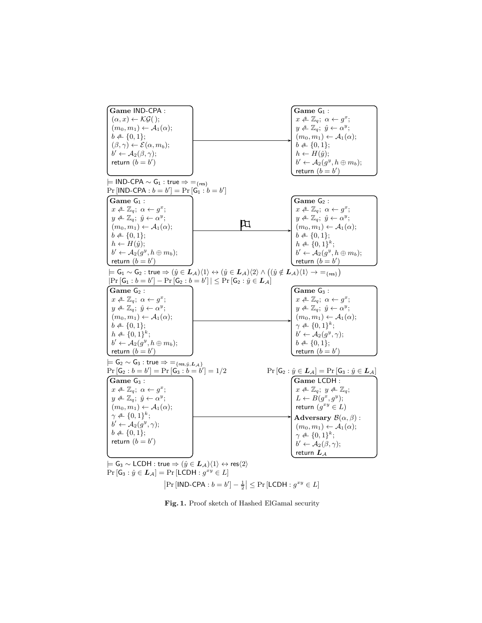Game IND-CPA : Game  $G_1$  :  $x \triangleq \mathbb{Z}_q$ ;  $\alpha \leftarrow g^x$ ;  $(\alpha, x) \leftarrow \mathcal{KG}$ ();  $y \triangleq \mathbb{Z}_q$ ;  $\hat{y} \leftarrow \alpha^y$ ;  $(m_0, m_1) \leftarrow \mathcal{A}_1(\alpha);$  $(m_0, m_1) \leftarrow \mathcal{A}_1(\alpha);$  $b \triangleq \{0, 1\};$  $(\beta, \gamma) \leftarrow \mathcal{E}(\alpha, m_b);$  $b \triangleq \{0, 1\};$  $b' \leftarrow \mathcal{A}_2(\beta, \gamma);$  $h \leftarrow H(\hat{u});$ return  $(b = b')$  $b' \leftarrow \mathcal{A}_2(g^y, h \oplus m_b);$ return  $(b = b')$  $\models$  IND-CPA  $\sim$  G<sub>1</sub> : true  $\Rightarrow$   $=$ <sub>{res}</sub>  $Pr [IND-CPA : b = b'] = Pr [G_1 : b = b']$  $\int$ Game  $\mathsf{G}_1$  : Game G<sub>2</sub>:  $x \triangleq \mathbb{Z}_q$ ;  $\alpha \leftarrow g^x$ ;  $x \triangleq \mathbb{Z}_q$ ;  $\alpha \leftarrow g^x$ ;  $y \triangleq \mathbb{Z}_q$ ;  $\hat{y} \leftarrow \alpha^y$ ;  $y \triangleq \mathbb{Z}_q$ ;  $\hat{y} \leftarrow \alpha^y$ ;  $\mu$  $(m_0, m_1) \leftarrow \mathcal{A}_1(\alpha);$  $(m_0, m_1) \leftarrow \mathcal{A}_1(\alpha);$  $b \triangleq \{0, 1\};$  $b \triangleq \{0, 1\};$  $h \leftarrow H(\hat{y});$  $h \triangleq \{0,1\}^k;$  $b' \leftarrow \mathcal{A}_2(g^y, h \oplus m_b);$  $b' \leftarrow \mathcal{A}_2(g^y, h \oplus m_b);$ return  $(b = b')$ return  $(b = b')$  $\models \mathsf{G}_1 \sim \mathsf{G}_2: \mathsf{true} \Rightarrow (\hat{y} \in \bm{L}_\mathcal{A})\langle 1 \rangle \leftrightarrow (\hat{y} \in \bm{L}_\mathcal{A})\langle 2 \rangle \wedge \big((\hat{y} \notin \bm{L}_\mathcal{A})\langle 1 \rangle \rightarrow =_{\{\mathsf{res}\}}\big)$  $|\Pr[\mathsf{G}_1 : b = b'] - \Pr[\mathsf{G}_2 : b = b']| \leq \Pr[\mathsf{G}_2 : \hat{y} \in \mathcal{L}_\mathcal{A}]$ Game G<sub>2</sub>:  $Game G_3$ :  $x \triangleq \mathbb{Z}_q$ ;  $\alpha \leftarrow g^x$ ;  $x \triangleq \mathbb{Z}_q$ ;  $\alpha \leftarrow g^x$ ;  $y \triangleq \mathbb{Z}_q$ ;  $\hat{y} \leftarrow \alpha^y$ ;  $y \triangleq \mathbb{Z}_q$ ;  $\hat{y} \leftarrow \alpha^y$ ;  $(m_0, m_1) \leftarrow \mathcal{A}_1(\alpha);$  $(m_0, m_1) \leftarrow A_1(\alpha);$  $\gamma \triangleq \{0,1\}^k;$  $b \triangleq \{0, 1\};$  $h \triangleq \{0, 1\}^k;$  $b' \leftarrow \mathcal{A}_2(g^y, \gamma);$  $b' \leftarrow \mathcal{A}_2(g^y, h \oplus m_b);$  $b \triangleq \{0, 1\};$ return  $(b = b')$ return  $(b = b')$  $\models \mathsf{G_2}\sim \mathsf{G_3}: \mathsf{true} \Rightarrow \, =_{\{\mathsf{res}, \hat{y}, \boldsymbol{L}_\mathcal{A}\}}$  $\Pr\left[\mathsf{G_2} : b = b'\right] = \Pr\left[\mathsf{G_3} : b = b'\right]$  $\Pr\left[\mathsf{G}_2 : \hat{y} \in \mathcal{L}_{\mathcal{A}}\right] = \Pr\left[\mathsf{G}_3 : \hat{y} \in \mathcal{L}_{\mathcal{A}}\right]$  $\int$ Game  $G_3$ : Game LCDH :  $x \triangleq \mathbb{Z}_q$ ;  $\alpha \leftarrow g^x$ ;  $x \triangleq \mathbb{Z}_q$ ;  $y \triangleq \mathbb{Z}_q$ ;  $y \triangleq \mathbb{Z}_q$ ;  $\hat{y} \leftarrow \alpha^y$ ;  $L \leftarrow B(g^x, g^y);$  $(m_0, m_1) \leftarrow \mathcal{A}_1(\alpha);$ return  $(g^{xy} \in L)$  $\gamma \triangleq \{0,1\}^k;$ Adversary  $\mathcal{B}(\alpha,\beta)$ :  $b' \leftarrow \mathcal{A}_2(g^y, \gamma);$  $(m_0, m_1) \leftarrow \mathcal{A}_1(\alpha);$  $b \triangleq \{0, 1\};$  $\gamma \triangleq \{0,1\}^k;$ return  $(b = b')$  $b' \leftarrow \mathcal{A}_2(\beta, \gamma);$ return  $L_A$  $\models$   $\mathsf{G}_3 \sim \mathsf{LCDH}$  : true  $\Rightarrow (\hat{y} \in \bm{L}_\mathcal{A})\langle 1 \rangle \leftrightarrow \mathsf{res}\langle 2 \rangle$  $Pr[G_3 : \hat{y} \in L_{\mathcal{A}}] = Pr[LCDH : g^{xy} \in L]$ 

 $\left|\Pr\left[\mathsf{IND}\text{-}\mathsf{CPA}:b=b'\right]-\frac{1}{2}\right|\leq\Pr\left[\mathsf{LCDH}:g^{xy}\in L\right]$ 

Fig. 1. Proof sketch of Hashed ElGamal security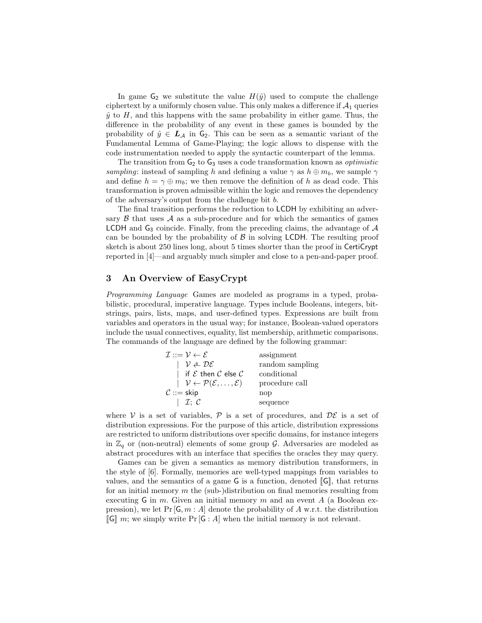In game  $G_2$  we substitute the value  $H(\hat{y})$  used to compute the challenge ciphertext by a uniformly chosen value. This only makes a difference if  $A_1$  queries  $\hat{y}$  to H, and this happens with the same probability in either game. Thus, the difference in the probability of any event in these games is bounded by the probability of  $\hat{y} \in L_A$  in  $G_2$ . This can be seen as a semantic variant of the Fundamental Lemma of Game-Playing; the logic allows to dispense with the code instrumentation needed to apply the syntactic counterpart of the lemma.

The transition from  $G_2$  to  $G_3$  uses a code transformation known as *optimistic* sampling: instead of sampling h and defining a value  $\gamma$  as  $h \oplus m_b$ , we sample  $\gamma$ and define  $h = \gamma \oplus m_b$ ; we then remove the definition of h as dead code. This transformation is proven admissible within the logic and removes the dependency of the adversary's output from the challenge bit b.

The final transition performs the reduction to LCDH by exhibiting an adversary  $\beta$  that uses  $\mathcal A$  as a sub-procedure and for which the semantics of games LCDH and  $G_3$  coincide. Finally, from the preceding claims, the advantage of  $A$ can be bounded by the probability of  $\beta$  in solving LCDH. The resulting proof sketch is about 250 lines long, about 5 times shorter than the proof in CertiCrypt reported in [4]—and arguably much simpler and close to a pen-and-paper proof.

# 3 An Overview of EasyCrypt

Programming Language Games are modeled as programs in a typed, probabilistic, procedural, imperative language. Types include Booleans, integers, bitstrings, pairs, lists, maps, and user-defined types. Expressions are built from variables and operators in the usual way; for instance, Boolean-valued operators include the usual connectives, equality, list membership, arithmetic comparisons. The commands of the language are defined by the following grammar:

| $\mathcal{I} ::= \mathcal{V} \leftarrow \mathcal{E}$                    | assignment      |
|-------------------------------------------------------------------------|-----------------|
| $V \triangleq \mathcal{D}\mathcal{E}$                                   | random sampling |
| if ${\cal E}$ then ${\cal C}$ else ${\cal C}$                           | conditional     |
| $ \mathcal{V} \leftarrow \mathcal{P}(\mathcal{E}, \ldots, \mathcal{E})$ | procedure call  |
| $\mathcal{C} ::=$ skip                                                  | nop             |
| $\perp$ $\mathcal{I}$ ; $\mathcal{C}$                                   | sequence        |

where V is a set of variables,  $P$  is a set of procedures, and  $D\mathcal{E}$  is a set of distribution expressions. For the purpose of this article, distribution expressions are restricted to uniform distributions over specific domains, for instance integers in  $\mathbb{Z}_q$  or (non-neutral) elements of some group  $\mathcal{G}$ . Adversaries are modeled as abstract procedures with an interface that specifies the oracles they may query.

Games can be given a semantics as memory distribution transformers, in the style of [6]. Formally, memories are well-typed mappings from variables to values, and the semantics of a game  $\mathsf G$  is a function, denoted  $\llbracket \mathsf G \rrbracket$ , that returns for an initial memory  $m$  the (sub-)distribution on final memories resulting from executing G in m. Given an initial memory m and an event A (a Boolean expression), we let  $Pr[G, m : A]$  denote the probability of A w.r.t. the distribution  $\llbracket \mathsf{G} \rrbracket$  m; we simply write Pr  $\llbracket \mathsf{G} : A \rrbracket$  when the initial memory is not relevant.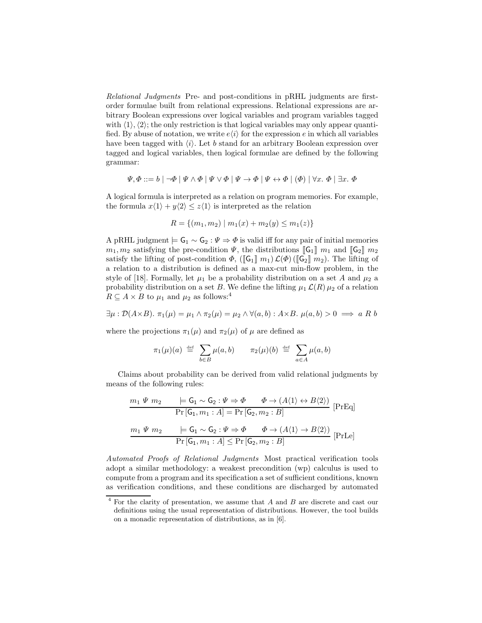Relational Judgments Pre- and post-conditions in pRHL judgments are firstorder formulae built from relational expressions. Relational expressions are arbitrary Boolean expressions over logical variables and program variables tagged with  $\langle 1 \rangle$ ,  $\langle 2 \rangle$ ; the only restriction is that logical variables may only appear quantified. By abuse of notation, we write  $e\langle i \rangle$  for the expression e in which all variables have been tagged with  $\langle i \rangle$ . Let b stand for an arbitrary Boolean expression over tagged and logical variables, then logical formulae are defined by the following grammar:

$$
\Psi, \Phi ::= b \mid \neg \Phi \mid \Psi \land \Phi \mid \Psi \lor \Phi \mid \Psi \to \Phi \mid \Psi \leftrightarrow \Phi \mid (\Phi) \mid \forall x. \Phi \mid \exists x. \Phi
$$

A logical formula is interpreted as a relation on program memories. For example, the formula  $x\langle 1 \rangle + y\langle 2 \rangle \leq z\langle 1 \rangle$  is interpreted as the relation

$$
R = \{(m_1, m_2) \mid m_1(x) + m_2(y) \le m_1(z)\}\
$$

A pRHL judgment  $\models G_1 \sim G_2 : \Psi \Rightarrow \Phi$  is valid iff for any pair of initial memories  $m_1, m_2$  satisfying the pre-condition  $\Psi$ , the distributions  $[\![G_1]\!]$   $m_1$  and  $[\![G_2]\!]$   $m_2$ satisfy the lifting of post-condition  $\Phi$ , ( $\llbracket \mathsf{G}_1 \rrbracket m_1$ )  $\mathcal{L}(\Phi)$  ( $\llbracket \mathsf{G}_2 \rrbracket m_2$ ). The lifting of a relation to a distribution is defined as a max-cut min-flow problem, in the style of [18]. Formally, let  $\mu_1$  be a probability distribution on a set A and  $\mu_2$  a probability distribution on a set B. We define the lifting  $\mu_1 \mathcal{L}(R) \mu_2$  of a relation  $R \subseteq A \times B$  to  $\mu_1$  and  $\mu_2$  as follows:<sup>4</sup>

$$
\exists \mu : \mathcal{D}(A \times B). \ \pi_1(\mu) = \mu_1 \wedge \pi_2(\mu) = \mu_2 \wedge \forall (a, b) : A \times B. \ \mu(a, b) > 0 \implies a \ R \ b
$$

where the projections  $\pi_1(\mu)$  and  $\pi_2(\mu)$  of  $\mu$  are defined as

$$
\pi_1(\mu)(a) \stackrel{\text{def}}{=} \sum_{b \in B} \mu(a, b) \qquad \pi_2(\mu)(b) \stackrel{\text{def}}{=} \sum_{a \in A} \mu(a, b)
$$

Claims about probability can be derived from valid relational judgments by means of the following rules:

$$
\begin{array}{ll}\nm_1 \Psi \ m_2 &= \mathsf{G}_1 \sim \mathsf{G}_2 : \Psi \Rightarrow \Phi \qquad \Phi \to (A \langle 1 \rangle \leftrightarrow B \langle 2 \rangle) \\
&\text{Pr} \left[ \mathsf{G}_1, m_1 : A \right] = \Pr \left[ \mathsf{G}_2, m_2 : B \right] \\
&\frac{m_1 \Psi \ m_2}{\Pr \left[ \mathsf{G}_1, m_1 : A \right] \leq \Pr \left[ \mathsf{G}_2, m_2 : B \right]} \\
&\text{Pr} \left[ \mathsf{G}_1, m_1 : A \right] \leq \Pr \left[ \mathsf{G}_2, m_2 : B \right] \\
&\text{Pr} \left[ \mathsf{G}_1, m_1 : A \right] \leq \Pr \left[ \mathsf{G}_2, m_2 : B \right]\n\end{array}
$$

Automated Proofs of Relational Judgments Most practical verification tools adopt a similar methodology: a weakest precondition (wp) calculus is used to compute from a program and its specification a set of sufficient conditions, known as verification conditions, and these conditions are discharged by automated

<sup>4</sup> For the clarity of presentation, we assume that A and B are discrete and cast our definitions using the usual representation of distributions. However, the tool builds on a monadic representation of distributions, as in [6].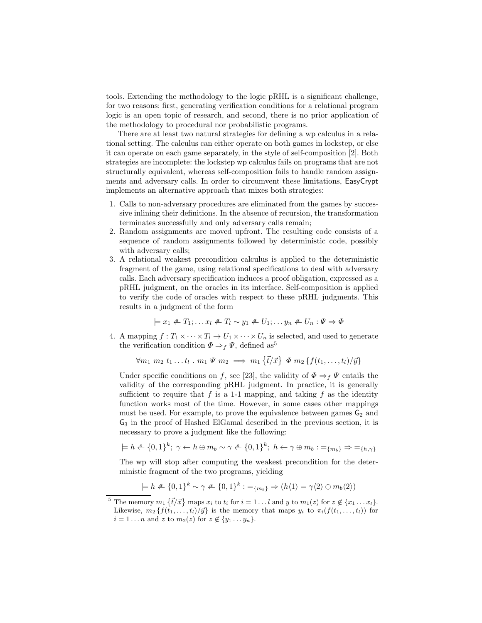tools. Extending the methodology to the logic pRHL is a significant challenge, for two reasons: first, generating verification conditions for a relational program logic is an open topic of research, and second, there is no prior application of the methodology to procedural nor probabilistic programs.

There are at least two natural strategies for defining a wp calculus in a relational setting. The calculus can either operate on both games in lockstep, or else it can operate on each game separately, in the style of self-composition [2]. Both strategies are incomplete: the lockstep wp calculus fails on programs that are not structurally equivalent, whereas self-composition fails to handle random assignments and adversary calls. In order to circumvent these limitations, EasyCrypt implements an alternative approach that mixes both strategies:

- 1. Calls to non-adversary procedures are eliminated from the games by successive inlining their definitions. In the absence of recursion, the transformation terminates successfully and only adversary calls remain;
- 2. Random assignments are moved upfront. The resulting code consists of a sequence of random assignments followed by deterministic code, possibly with adversary calls;
- 3. A relational weakest precondition calculus is applied to the deterministic fragment of the game, using relational specifications to deal with adversary calls. Each adversary specification induces a proof obligation, expressed as a pRHL judgment, on the oracles in its interface. Self-composition is applied to verify the code of oracles with respect to these pRHL judgments. This results in a judgment of the form

$$
\models x_1 \stackrel{\ast}{\leftarrow} T_1; \dots x_l \stackrel{\ast}{\leftarrow} T_l \sim y_1 \stackrel{\ast}{\leftarrow} U_1; \dots y_n \stackrel{\ast}{\leftarrow} U_n : \Psi \Rightarrow \Phi
$$

4. A mapping  $f: T_1 \times \cdots \times T_l \to U_1 \times \cdots \times U_n$  is selected, and used to generate the verification condition  $\Phi \Rightarrow_f \Psi$ , defined as<sup>5</sup>

$$
\forall m_1 \; m_2 \; t_1 \ldots t_l \; . \; m_1 \; \Psi \; m_2 \implies m_1 \left\{ \vec{t}/\vec{x} \right\} \; \Phi \; m_2 \left\{ f(t_1, \ldots, t_l)/\vec{y} \right\}
$$

Under specific conditions on f, see [23], the validity of  $\Phi \Rightarrow f \Psi$  entails the validity of the corresponding pRHL judgment. In practice, it is generally sufficient to require that f is a 1-1 mapping, and taking f as the identity function works most of the time. However, in some cases other mappings must be used. For example, to prove the equivalence between games  $G_2$  and  $G_3$  in the proof of Hashed ElGamal described in the previous section, it is necessary to prove a judgment like the following:

$$
\models h \triangleq \{0,1\}^k; \ \gamma \leftarrow h \oplus m_b \sim \gamma \triangleq \{0,1\}^k; \ h \leftarrow \gamma \oplus m_b :=_{\{m_b\}} \Rightarrow =_{\{h,\gamma\}}
$$

The wp will stop after computing the weakest precondition for the deterministic fragment of the two programs, yielding

$$
\models h \triangleleft \{0,1\}^k \sim \gamma \triangleleft \{0,1\}^k := \{m_b\} \Rightarrow (h\langle 1 \rangle = \gamma\langle 2 \rangle \oplus m_b\langle 2 \rangle)
$$

<sup>&</sup>lt;sup>5</sup> The memory  $m_1 \{\vec{t}/\vec{x}\}$  maps  $x_i$  to  $t_i$  for  $i = 1 \dots l$  and y to  $m_1(z)$  for  $z \notin \{x_1 \dots x_l\}$ . Likewise,  $m_2 \{f(t_1, \ldots, t_l)/\vec{y}\}\$ is the memory that maps  $y_i$  to  $\pi_i(f(t_1, \ldots, t_l))$  for  $i = 1 ... n$  and z to  $m_2(z)$  for  $z \notin \{y_1 ... y_n\}.$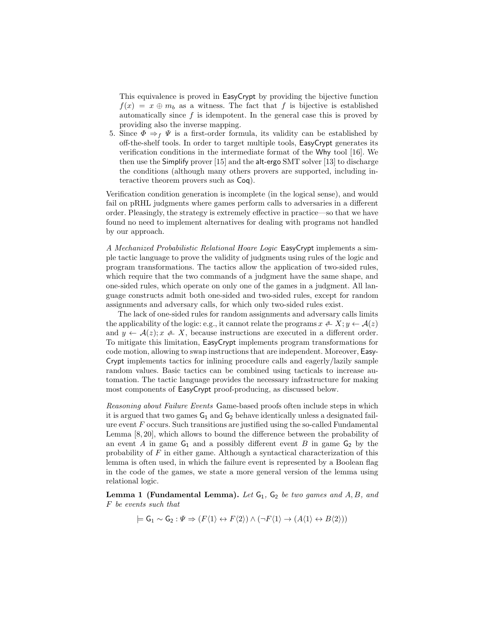This equivalence is proved in EasyCrypt by providing the bijective function  $f(x) = x \oplus m_b$  as a witness. The fact that f is bijective is established automatically since  $f$  is idempotent. In the general case this is proved by providing also the inverse mapping.

5. Since  $\Phi \Rightarrow_f \Psi$  is a first-order formula, its validity can be established by off-the-shelf tools. In order to target multiple tools, EasyCrypt generates its verification conditions in the intermediate format of the Why tool [16]. We then use the Simplify prover [15] and the alt-ergo SMT solver [13] to discharge the conditions (although many others provers are supported, including interactive theorem provers such as Coq).

Verification condition generation is incomplete (in the logical sense), and would fail on pRHL judgments where games perform calls to adversaries in a different order. Pleasingly, the strategy is extremely effective in practice—so that we have found no need to implement alternatives for dealing with programs not handled by our approach.

A Mechanized Probabilistic Relational Hoare Logic EasyCrypt implements a simple tactic language to prove the validity of judgments using rules of the logic and program transformations. The tactics allow the application of two-sided rules, which require that the two commands of a judgment have the same shape, and one-sided rules, which operate on only one of the games in a judgment. All language constructs admit both one-sided and two-sided rules, except for random assignments and adversary calls, for which only two-sided rules exist.

The lack of one-sided rules for random assignments and adversary calls limits the applicability of the logic: e.g., it cannot relate the programs  $x \triangleq X; y \leftarrow A(z)$ and  $y \leftarrow \mathcal{A}(z); x \triangleleft X$ , because instructions are executed in a different order. To mitigate this limitation, EasyCrypt implements program transformations for code motion, allowing to swap instructions that are independent. Moreover, Easy-Crypt implements tactics for inlining procedure calls and eagerly/lazily sample random values. Basic tactics can be combined using tacticals to increase automation. The tactic language provides the necessary infrastructure for making most components of EasyCrypt proof-producing, as discussed below.

Reasoning about Failure Events Game-based proofs often include steps in which it is argued that two games  $G_1$  and  $G_2$  behave identically unless a designated failure event  $F$  occurs. Such transitions are justified using the so-called Fundamental Lemma [8, 20], which allows to bound the difference between the probability of an event A in game  $G_1$  and a possibly different event B in game  $G_2$  by the probability of F in either game. Although a syntactical characterization of this lemma is often used, in which the failure event is represented by a Boolean flag in the code of the games, we state a more general version of the lemma using relational logic.

**Lemma 1 (Fundamental Lemma).** Let  $G_1$ ,  $G_2$  be two games and  $A, B$ , and F be events such that

$$
\models \mathsf{G}_1 \sim \mathsf{G}_2 : \Psi \Rightarrow (F\langle 1 \rangle \leftrightarrow F\langle 2 \rangle) \land (\neg F\langle 1 \rangle \rightarrow (A\langle 1 \rangle \leftrightarrow B\langle 2 \rangle))
$$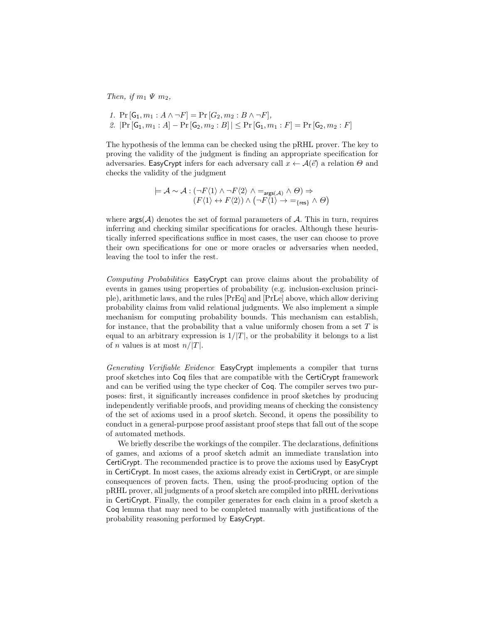Then, if  $m_1 \Psi m_2$ ,

1. 
$$
\Pr[G_1, m_1 : A \land \neg F] = \Pr[G_2, m_2 : B \land \neg F],
$$
  
2.  $\Pr[G_1, m_1 : A] - \Pr[G_2, m_2 : B] | \leq \Pr[G_1, m_1 : F] = \Pr[G_2, m_2 : F]$ 

The hypothesis of the lemma can be checked using the pRHL prover. The key to proving the validity of the judgment is finding an appropriate specification for adversaries. EasyCrypt infers for each adversary call  $x \leftarrow \mathcal{A}(\vec{e})$  a relation  $\Theta$  and checks the validity of the judgment

$$
\models \mathcal{A} \sim \mathcal{A} : (\neg F \langle 1 \rangle \land \neg F \langle 2 \rangle \land =_{\text{args}(\mathcal{A})} \land \Theta) \Rightarrow
$$

$$
(F \langle 1 \rangle \leftrightarrow F \langle 2 \rangle) \land (\neg F \langle 1 \rangle \rightarrow =_{\{\text{res}\}} \land \Theta)
$$

where  $\arg(s(\mathcal{A})$  denotes the set of formal parameters of  $\mathcal{A}$ . This in turn, requires inferring and checking similar specifications for oracles. Although these heuristically inferred specifications suffice in most cases, the user can choose to prove their own specifications for one or more oracles or adversaries when needed, leaving the tool to infer the rest.

Computing Probabilities EasyCrypt can prove claims about the probability of events in games using properties of probability (e.g. inclusion-exclusion principle), arithmetic laws, and the rules [PrEq] and [PrLe] above, which allow deriving probability claims from valid relational judgments. We also implement a simple mechanism for computing probability bounds. This mechanism can establish, for instance, that the probability that a value uniformly chosen from a set  $T$  is equal to an arbitrary expression is  $1/|T|$ , or the probability it belongs to a list of *n* values is at most  $n/|T|$ .

Generating Verifiable Evidence EasyCrypt implements a compiler that turns proof sketches into Coq files that are compatible with the CertiCrypt framework and can be verified using the type checker of Coq. The compiler serves two purposes: first, it significantly increases confidence in proof sketches by producing independently verifiable proofs, and providing means of checking the consistency of the set of axioms used in a proof sketch. Second, it opens the possibility to conduct in a general-purpose proof assistant proof steps that fall out of the scope of automated methods.

We briefly describe the workings of the compiler. The declarations, definitions of games, and axioms of a proof sketch admit an immediate translation into CertiCrypt. The recommended practice is to prove the axioms used by EasyCrypt in CertiCrypt. In most cases, the axioms already exist in CertiCrypt, or are simple consequences of proven facts. Then, using the proof-producing option of the pRHL prover, all judgments of a proof sketch are compiled into pRHL derivations in CertiCrypt. Finally, the compiler generates for each claim in a proof sketch a Coq lemma that may need to be completed manually with justifications of the probability reasoning performed by EasyCrypt.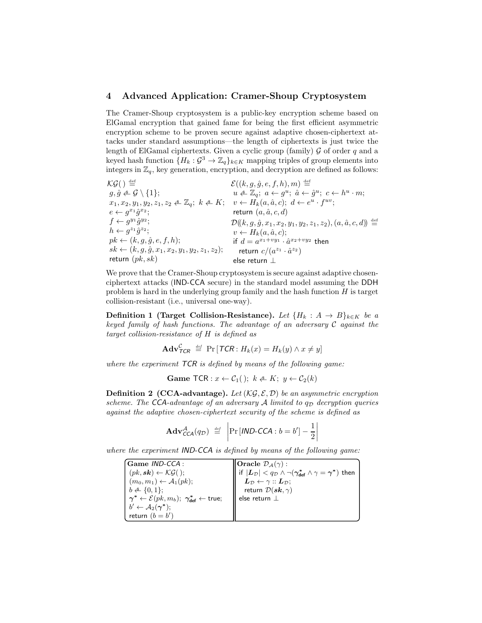# 4 Advanced Application: Cramer-Shoup Cryptosystem

The Cramer-Shoup cryptosystem is a public-key encryption scheme based on ElGamal encryption that gained fame for being the first efficient asymmetric encryption scheme to be proven secure against adaptive chosen-ciphertext attacks under standard assumptions—the length of ciphertexts is just twice the length of ElGamal ciphertexts. Given a cyclic group (family)  $G$  of order q and a keyed hash function  $\{H_k: \mathcal{G}^3 \to \mathbb{Z}_q\}_{k \in K}$  mapping triples of group elements into integers in  $\mathbb{Z}_q$ , key generation, encryption, and decryption are defined as follows:

 $\mathcal{KG}() \stackrel{\scriptscriptstyle{\mathsf{def}}}{=}$  $g, \hat{g} \triangleq \mathcal{G} \setminus \{1\};$  $x_1, x_2, y_1, y_2, z_1, z_2 \Leftrightarrow \mathbb{Z}_q$ ;  $k \Leftrightarrow K$ ;  $e \leftarrow g^{x_1} \hat{g}^{x_2};$  $f \leftarrow g^{y_1} \hat{g}^{y_2};$  $h \leftarrow g^{z_1} \hat{g}^{z_2};$  $pk \leftarrow (k, g, \hat{g}, e, f, h);$  $sk \leftarrow (k, g, \hat{g}, x_1, x_2, y_1, y_2, z_1, z_2);$ return  $(pk, sk)$  $\mathcal{E}((k, g, \hat{g}, e, f, h), m) \stackrel{\text{def}}{=}$  $u \triangleq \mathbb{Z}_q$ ;  $a \leftarrow g^u$ ;  $\hat{a} \leftarrow \hat{g}^u$ ;  $c \leftarrow h^u \cdot m$ ;  $v \leftarrow H_k(a, \hat{a}, c); d \leftarrow e^u \cdot f^{uv};$ return  $(a, \hat{a}, c, d)$  $\mathcal{D}(\!(k, g, \hat{g}, x_1, x_2, y_1, y_2, z_1, z_2), (a, \hat{a}, c, d) \!) \stackrel{\text{def}}{=}$  $v \leftarrow H_k(a, \hat{a}, c);$ if  $d = a^{x_1+vy_1} \cdot \hat{a}^{x_2+vy_2}$  then return  $c/(a^{z_1} \cdot \hat{a}^{z_2})$ else return ⊥

We prove that the Cramer-Shoup cryptosystem is secure against adaptive chosenciphertext attacks (IND-CCA secure) in the standard model assuming the DDH problem is hard in the underlying group family and the hash function  $H$  is target collision-resistant (i.e., universal one-way).

**Definition 1 (Target Collision-Resistance).** Let  $\{H_k : A \to B\}_{k \in K}$  be a keyed family of hash functions. The advantage of an adversary  $C$  against the target collision-resistance of H is defined as

$$
\mathbf{Adv}_{\mathcal{TCR}}^{\mathcal{C}} \stackrel{\text{def}}{=} \Pr[\mathcal{TCR} : H_k(x) = H_k(y) \land x \neq y]
$$

where the experiment TCR is defined by means of the following game:

**Game** TCR: 
$$
x \leftarrow C_1()
$$
;  $k \triangleleft K$ ;  $y \leftarrow C_2(k)$ 

**Definition 2 (CCA-advantage).** Let  $(KG, \mathcal{E}, \mathcal{D})$  be an asymmetric encryption scheme. The CCA-advantage of an adversary A limited to  $q_{\mathcal{D}}$  decryption queries against the adaptive chosen-ciphertext security of the scheme is defined as

$$
\mathbf{Adv}_{\mathsf{CCA}}^{\mathcal{A}}(q_{\mathcal{D}}) \stackrel{\text{\tiny def}}{=} \left| \Pr\left[\mathsf{IND}\text{-}\mathsf{CCA}:b=b'\right] - \frac{1}{2} \right|
$$

where the experiment **IND-CCA** is defined by means of the following game:

| Game <i>IND-CCA</i> :                                                                                                     | <b>Oracle</b> $\mathcal{D}_{\mathcal{A}}(\gamma)$ :                                                                                               |
|---------------------------------------------------------------------------------------------------------------------------|---------------------------------------------------------------------------------------------------------------------------------------------------|
| $(pk, sk) \leftarrow \mathcal{KG}($ :                                                                                     | $\parallel$ if $ \bm{L}_\mathcal{D}  < q_\mathcal{D} \land \neg(\bm{\gamma_\text{def}^*} \land \gamma = \bm{\gamma^*})$ then                      |
| $(m_0, m_1) \leftarrow \mathcal{A}_1(pk);$                                                                                | $\boldsymbol{L}_\mathcal{D} \leftarrow \gamma :: \boldsymbol{L}_\mathcal{D}; \ \ \text{return } \mathcal{D}(\boldsymbol{s}\boldsymbol{k},\gamma)$ |
| $b \triangleq \{0, 1\}$ :                                                                                                 |                                                                                                                                                   |
| $\boldsymbol{\gamma}^* \leftarrow \mathcal{E}(pk, m_b); \ \boldsymbol{\gamma}_{\mathsf{def}}^* \leftarrow \mathsf{true};$ | else return $\perp$                                                                                                                               |
| $b' \leftarrow \mathcal{A}_2(\boldsymbol{\gamma}^*)$ ;                                                                    |                                                                                                                                                   |
| return $(b = b')$                                                                                                         |                                                                                                                                                   |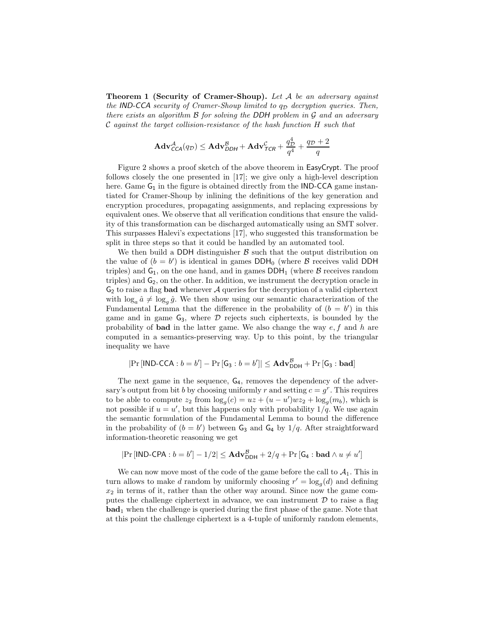**Theorem 1 (Security of Cramer-Shoup).** Let  $A$  be an adversary against the IND-CCA security of Cramer-Shoup limited to  $q_{\mathcal{D}}$  decryption queries. Then, there exists an algorithm  $\beta$  for solving the DDH problem in  $\mathcal G$  and an adversary  $\cal C$  against the target collision-resistance of the hash function  $H$  such that

$$
\mathbf{Adv}_{\mathcal{CCA}}^{\mathcal{A}}(q_{\mathcal{D}}) \leq \mathbf{Adv}_{DDH}^{\mathcal{B}} + \mathbf{Adv}_{\mathcal{TCR}}^{\mathcal{C}} + \frac{q_{\mathcal{D}}^4}{q^4} + \frac{q_{\mathcal{D}} + 2}{q}
$$

Figure 2 shows a proof sketch of the above theorem in EasyCrypt. The proof follows closely the one presented in [17]; we give only a high-level description here. Game  $G_1$  in the figure is obtained directly from the **IND-CCA** game instantiated for Cramer-Shoup by inlining the definitions of the key generation and encryption procedures, propagating assignments, and replacing expressions by equivalent ones. We observe that all verification conditions that ensure the validity of this transformation can be discharged automatically using an SMT solver. This surpasses Halevi's expectations [17], who suggested this transformation be split in three steps so that it could be handled by an automated tool.

We then build a DDH distinguisher  $\beta$  such that the output distribution on the value of  $(b = b')$  is identical in games DDH<sub>0</sub> (where  $\beta$  receives valid DDH triples) and  $G_1$ , on the one hand, and in games  $DDH_1$  (where  $B$  receives random triples) and  $G_2$ , on the other. In addition, we instrument the decryption oracle in  $G_2$  to raise a flag **bad** whenever  $\mathcal A$  queries for the decryption of a valid ciphertext with  $\log_a \hat{a} \neq \log_g \hat{g}$ . We then show using our semantic characterization of the Fundamental Lemma that the difference in the probability of  $(b = b')$  in this game and in game  $G_3$ , where  $D$  rejects such ciphertexts, is bounded by the probability of **bad** in the latter game. We also change the way  $e, f$  and h are computed in a semantics-preserving way. Up to this point, by the triangular inequality we have

$$
|\Pr[\mathsf{IND}\text{-}\mathsf{CCA}:b=b'] - \Pr[\mathsf{G}_3:b=b']| \leq \mathbf{Adv}_{\mathsf{DDH}}^{\mathcal{B}} + \Pr[\mathsf{G}_3:\mathbf{bad}]
$$

The next game in the sequence, G4, removes the dependency of the adversary's output from bit b by choosing uniformly r and setting  $c = g<sup>r</sup>$ . This requires to be able to compute  $z_2$  from  $\log_g(c) = uz + (u - u')wz_2 + \log_g(m_b)$ , which is not possible if  $u = u'$ , but this happens only with probability  $1/\tilde{q}$ . We use again the semantic formulation of the Fundamental Lemma to bound the difference in the probability of  $(b = b')$  between  $G_3$  and  $G_4$  by  $1/q$ . After straightforward information-theoretic reasoning we get

$$
|\Pr[\mathsf{IND}\text{-}\mathsf{CPA}:b=b'] - 1/2| \leq \mathbf{Adv}_{\mathsf{DDH}}^{\mathcal{B}} + 2/q + \Pr[\mathsf{G}_4:\mathbf{bad} \wedge u \neq u']
$$

We can now move most of the code of the game before the call to  $A_1$ . This in turn allows to make d random by uniformly choosing  $r' = \log_q(d)$  and defining  $x_2$  in terms of it, rather than the other way around. Since now the game computes the challenge ciphertext in advance, we can instrument  $\mathcal D$  to raise a flag  $bad_1$  when the challenge is queried during the first phase of the game. Note that at this point the challenge ciphertext is a 4-tuple of uniformly random elements,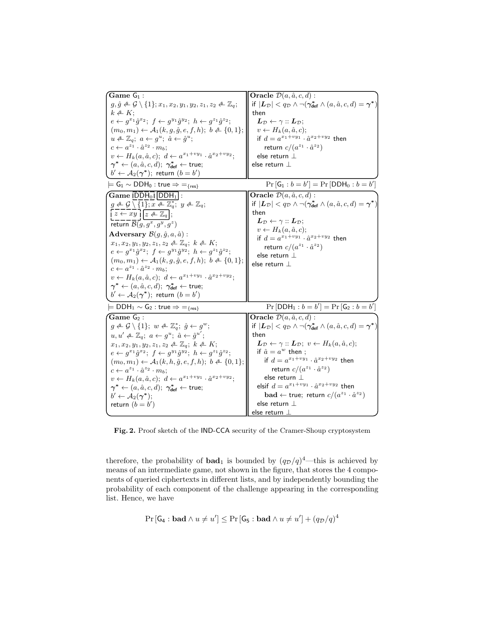

Fig. 2. Proof sketch of the IND-CCA security of the Cramer-Shoup cryptosystem

therefore, the probability of **bad**<sub>1</sub> is bounded by  $(q_{\mathcal{D}}/q)^4$ —this is achieved by means of an intermediate game, not shown in the figure, that stores the 4 components of queried ciphertexts in different lists, and by independently bounding the probability of each component of the challenge appearing in the corresponding list. Hence, we have

$$
\Pr\left[\mathsf{G}_4:\mathbf{bad}\wedge u\neq u'\right]\leq \Pr\left[\mathsf{G}_5:\mathbf{bad}\wedge u\neq u'\right]+(q_\mathcal{D}/q)^4
$$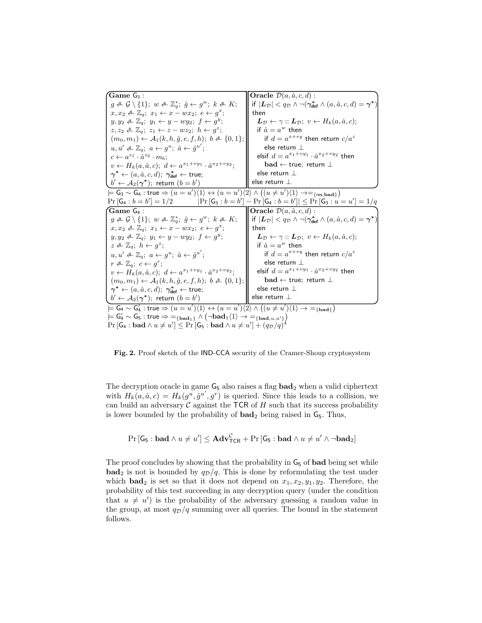

Fig. 2. Proof sketch of the IND-CCA security of the Cramer-Shoup cryptosystem

The decryption oracle in game  $G_5$  also raises a flag  $bad_2$  when a valid ciphertext with  $H_k(a, \hat{a}, c) = H_k(g^u, \hat{g}^{u'}, g^r)$  is queried. Since this leads to a collision, we can build an adversary  $\mathcal C$  against the TCR of  $H$  such that its success probability is lower bounded by the probability of  $bad_2$  being raised in  $G_5$ . Thus,

$$
\Pr\left[\mathsf{G}_5: \mathbf{bad} \land u \neq u'\right] \leq \mathbf{Adv}^{\mathcal{C}}_{\mathsf{TCR}} + \Pr\left[\mathsf{G}_5: \mathbf{bad} \land u \neq u' \land \neg \mathbf{bad}_2\right]
$$

The proof concludes by showing that the probability in  $G_5$  of **bad** being set while  $\mathbf{bad}_2$  is not is bounded by  $q_{\mathcal{D}}/q$ . This is done by reformulating the test under which **bad**<sub>2</sub> is set so that it does not depend on  $x_1, x_2, y_1, y_2$ . Therefore, the probability of this test succeeding in any decryption query (under the condition that  $u \neq u'$  is the probability of the adversary guessing a random value in the group, at most  $q_{\mathcal{D}}/q$  summing over all queries. The bound in the statement follows.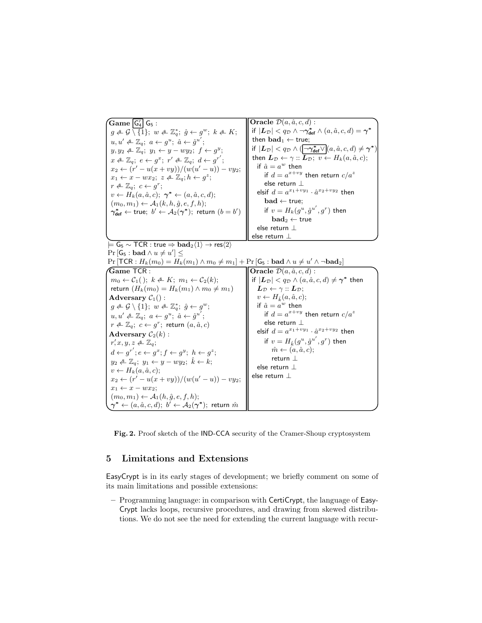

Fig. 2. Proof sketch of the IND-CCA security of the Cramer-Shoup cryptosystem

## 5 Limitations and Extensions

EasyCrypt is in its early stages of development; we briefly comment on some of its main limitations and possible extensions:

– Programming language: in comparison with CertiCrypt, the language of Easy-Crypt lacks loops, recursive procedures, and drawing from skewed distributions. We do not see the need for extending the current language with recur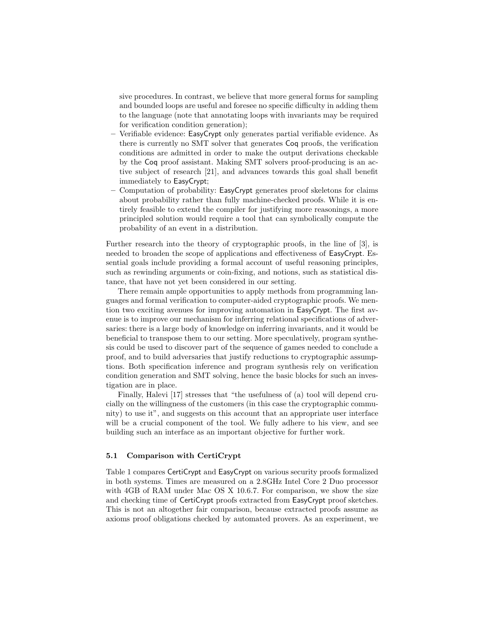sive procedures. In contrast, we believe that more general forms for sampling and bounded loops are useful and foresee no specific difficulty in adding them to the language (note that annotating loops with invariants may be required for verification condition generation);

- Verifiable evidence: EasyCrypt only generates partial verifiable evidence. As there is currently no SMT solver that generates Coq proofs, the verification conditions are admitted in order to make the output derivations checkable by the Coq proof assistant. Making SMT solvers proof-producing is an active subject of research [21], and advances towards this goal shall benefit immediately to EasyCrypt;
- Computation of probability: EasyCrypt generates proof skeletons for claims about probability rather than fully machine-checked proofs. While it is entirely feasible to extend the compiler for justifying more reasonings, a more principled solution would require a tool that can symbolically compute the probability of an event in a distribution.

Further research into the theory of cryptographic proofs, in the line of [3], is needed to broaden the scope of applications and effectiveness of EasyCrypt. Essential goals include providing a formal account of useful reasoning principles, such as rewinding arguments or coin-fixing, and notions, such as statistical distance, that have not yet been considered in our setting.

There remain ample opportunities to apply methods from programming languages and formal verification to computer-aided cryptographic proofs. We mention two exciting avenues for improving automation in EasyCrypt. The first avenue is to improve our mechanism for inferring relational specifications of adversaries: there is a large body of knowledge on inferring invariants, and it would be beneficial to transpose them to our setting. More speculatively, program synthesis could be used to discover part of the sequence of games needed to conclude a proof, and to build adversaries that justify reductions to cryptographic assumptions. Both specification inference and program synthesis rely on verification condition generation and SMT solving, hence the basic blocks for such an investigation are in place.

Finally, Halevi [17] stresses that "the usefulness of (a) tool will depend crucially on the willingness of the customers (in this case the cryptographic community) to use it", and suggests on this account that an appropriate user interface will be a crucial component of the tool. We fully adhere to his view, and see building such an interface as an important objective for further work.

#### 5.1 Comparison with CertiCrypt

Table 1 compares CertiCrypt and EasyCrypt on various security proofs formalized in both systems. Times are measured on a 2.8GHz Intel Core 2 Duo processor with 4GB of RAM under Mac OS X 10.6.7. For comparison, we show the size and checking time of CertiCrypt proofs extracted from EasyCrypt proof sketches. This is not an altogether fair comparison, because extracted proofs assume as axioms proof obligations checked by automated provers. As an experiment, we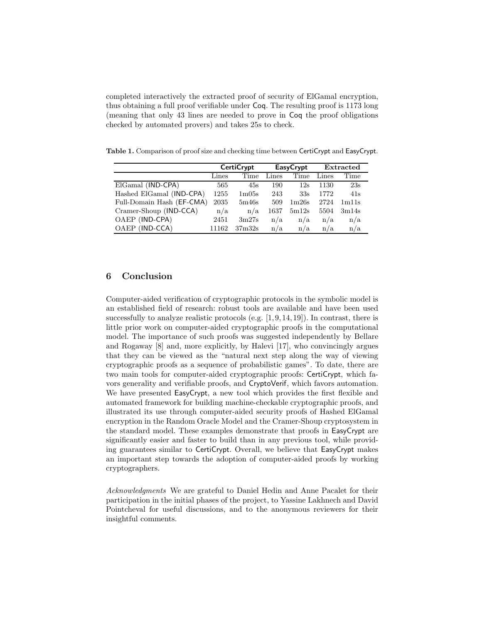completed interactively the extracted proof of security of ElGamal encryption, thus obtaining a full proof verifiable under Coq. The resulting proof is 1173 long (meaning that only 43 lines are needed to prove in Coq the proof obligations checked by automated provers) and takes 25s to check.

Table 1. Comparison of proof size and checking time between CertiCrypt and EasyCrypt.

|                           | <b>CertiCrypt</b> |                    | EasyCrypt |                                | Extracted |                   |
|---------------------------|-------------------|--------------------|-----------|--------------------------------|-----------|-------------------|
|                           | Lines             | Time               | Lines     | Time                           | Lines     | Time              |
| ElGamal (IND-CPA)         | 565               | 45s                | 190       | 12s                            | 1130      | 23s               |
| Hashed ElGamal (IND-CPA)  | 1255              | 1 <sub>m05s</sub>  | 243       | 33s                            | 1772      | 41s               |
| Full-Domain Hash (EF-CMA) | 2035              | 5m46s              | 509       | 1 <sub>m</sub> 26 <sub>s</sub> | 2724      | 1 <sub>m11s</sub> |
| Cramer-Shoup (IND-CCA)    | n/a               | n/a                | 1637      | 5m12s                          | 5504      | 3m14s             |
| OAEP (IND-CPA)            | 2451              | 3m27s              | n/a       | n/a                            | n/a       | n/a               |
| OAEP (IND-CCA)            | 11162             | 37 <sub>m32s</sub> | n/a       | n/a                            | n/a       | n/a               |

#### 6 Conclusion

Computer-aided verification of cryptographic protocols in the symbolic model is an established field of research: robust tools are available and have been used successfully to analyze realistic protocols (e.g.  $[1, 9, 14, 19]$ ). In contrast, there is little prior work on computer-aided cryptographic proofs in the computational model. The importance of such proofs was suggested independently by Bellare and Rogaway [8] and, more explicitly, by Halevi [17], who convincingly argues that they can be viewed as the "natural next step along the way of viewing cryptographic proofs as a sequence of probabilistic games". To date, there are two main tools for computer-aided cryptographic proofs: CertiCrypt, which favors generality and verifiable proofs, and CryptoVerif, which favors automation. We have presented EasyCrypt, a new tool which provides the first flexible and automated framework for building machine-checkable cryptographic proofs, and illustrated its use through computer-aided security proofs of Hashed ElGamal encryption in the Random Oracle Model and the Cramer-Shoup cryptosystem in the standard model. These examples demonstrate that proofs in EasyCrypt are significantly easier and faster to build than in any previous tool, while providing guarantees similar to CertiCrypt. Overall, we believe that EasyCrypt makes an important step towards the adoption of computer-aided proofs by working cryptographers.

Acknowledgments We are grateful to Daniel Hedin and Anne Pacalet for their participation in the initial phases of the project, to Yassine Lakhnech and David Pointcheval for useful discussions, and to the anonymous reviewers for their insightful comments.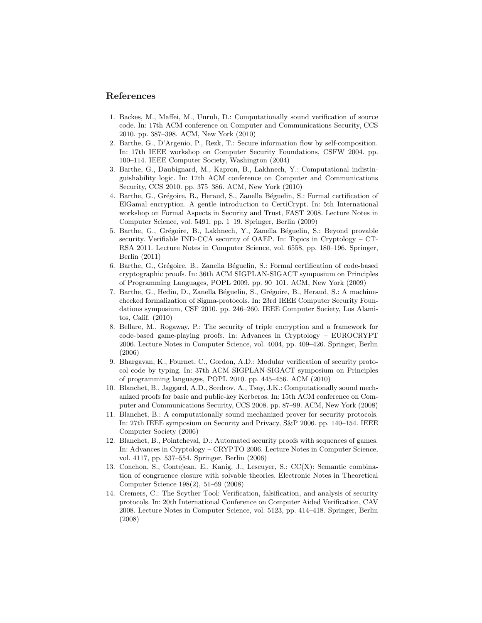#### References

- 1. Backes, M., Maffei, M., Unruh, D.: Computationally sound verification of source code. In: 17th ACM conference on Computer and Communications Security, CCS 2010. pp. 387–398. ACM, New York (2010)
- 2. Barthe, G., D'Argenio, P., Rezk, T.: Secure information flow by self-composition. In: 17th IEEE workshop on Computer Security Foundations, CSFW 2004. pp. 100–114. IEEE Computer Society, Washington (2004)
- 3. Barthe, G., Daubignard, M., Kapron, B., Lakhnech, Y.: Computational indistinguishability logic. In: 17th ACM conference on Computer and Communications Security, CCS 2010. pp. 375–386. ACM, New York (2010)
- 4. Barthe, G., Grégoire, B., Heraud, S., Zanella Béguelin, S.: Formal certification of ElGamal encryption. A gentle introduction to CertiCrypt. In: 5th International workshop on Formal Aspects in Security and Trust, FAST 2008. Lecture Notes in Computer Science, vol. 5491, pp. 1–19. Springer, Berlin (2009)
- 5. Barthe, G., Grégoire, B., Lakhnech, Y., Zanella Béguelin, S.: Beyond provable security. Verifiable IND-CCA security of OAEP. In: Topics in Cryptology – CT-RSA 2011. Lecture Notes in Computer Science, vol. 6558, pp. 180–196. Springer, Berlin (2011)
- 6. Barthe, G., Grégoire, B., Zanella Béguelin, S.: Formal certification of code-based cryptographic proofs. In: 36th ACM SIGPLAN-SIGACT symposium on Principles of Programming Languages, POPL 2009. pp. 90–101. ACM, New York (2009)
- 7. Barthe, G., Hedin, D., Zanella Béguelin, S., Grégoire, B., Heraud, S.: A machinechecked formalization of Sigma-protocols. In: 23rd IEEE Computer Security Foundations symposium, CSF 2010. pp. 246–260. IEEE Computer Society, Los Alamitos, Calif. (2010)
- 8. Bellare, M., Rogaway, P.: The security of triple encryption and a framework for code-based game-playing proofs. In: Advances in Cryptology – EUROCRYPT 2006. Lecture Notes in Computer Science, vol. 4004, pp. 409–426. Springer, Berlin (2006)
- 9. Bhargavan, K., Fournet, C., Gordon, A.D.: Modular verification of security protocol code by typing. In: 37th ACM SIGPLAN-SIGACT symposium on Principles of programming languages, POPL 2010. pp. 445–456. ACM (2010)
- 10. Blanchet, B., Jaggard, A.D., Scedrov, A., Tsay, J.K.: Computationally sound mechanized proofs for basic and public-key Kerberos. In: 15th ACM conference on Computer and Communications Security, CCS 2008. pp. 87–99. ACM, New York (2008)
- 11. Blanchet, B.: A computationally sound mechanized prover for security protocols. In: 27th IEEE symposium on Security and Privacy, S&P 2006. pp. 140–154. IEEE Computer Society (2006)
- 12. Blanchet, B., Pointcheval, D.: Automated security proofs with sequences of games. In: Advances in Cryptology – CRYPTO 2006. Lecture Notes in Computer Science, vol. 4117, pp. 537–554. Springer, Berlin (2006)
- 13. Conchon, S., Contejean, E., Kanig, J., Lescuyer, S.: CC(X): Semantic combination of congruence closure with solvable theories. Electronic Notes in Theoretical Computer Science 198(2), 51–69 (2008)
- 14. Cremers, C.: The Scyther Tool: Verification, falsification, and analysis of security protocols. In: 20th International Conference on Computer Aided Verification, CAV 2008. Lecture Notes in Computer Science, vol. 5123, pp. 414–418. Springer, Berlin (2008)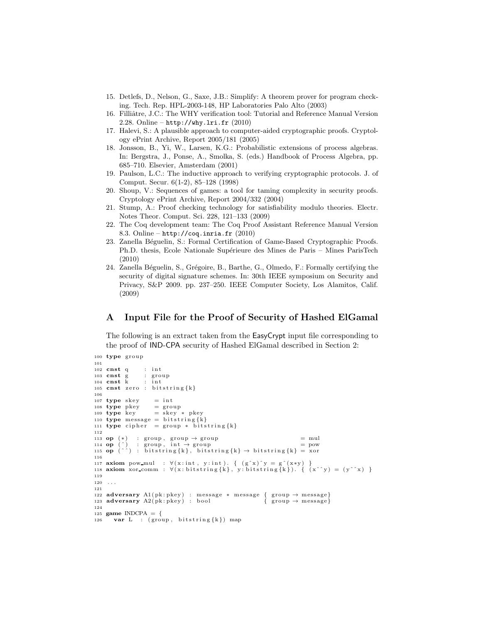- 15. Detlefs, D., Nelson, G., Saxe, J.B.: Simplify: A theorem prover for program checking. Tech. Rep. HPL-2003-148, HP Laboratories Palo Alto (2003)
- 16. Filliâtre, J.C.: The WHY verification tool: Tutorial and Reference Manual Version 2.28. Online –  $http://why.lri.fr (2010)$
- 17. Halevi, S.: A plausible approach to computer-aided cryptographic proofs. Cryptology ePrint Archive, Report 2005/181 (2005)
- 18. Jonsson, B., Yi, W., Larsen, K.G.: Probabilistic extensions of process algebras. In: Bergstra, J., Ponse, A., Smolka, S. (eds.) Handbook of Process Algebra, pp. 685–710. Elsevier, Amsterdam (2001)
- 19. Paulson, L.C.: The inductive approach to verifying cryptographic protocols. J. of Comput. Secur. 6(1-2), 85–128 (1998)
- 20. Shoup, V.: Sequences of games: a tool for taming complexity in security proofs. Cryptology ePrint Archive, Report 2004/332 (2004)
- 21. Stump, A.: Proof checking technology for satisfiability modulo theories. Electr. Notes Theor. Comput. Sci. 228, 121–133 (2009)
- 22. The Coq development team: The Coq Proof Assistant Reference Manual Version 8.3. Online – http://coq.inria.fr (2010)
- 23. Zanella Béguelin, S.: Formal Certification of Game-Based Cryptographic Proofs. Ph.D. thesis, Ecole Nationale Sup´erieure des Mines de Paris – Mines ParisTech (2010)
- 24. Zanella Béguelin, S., Grégoire, B., Barthe, G., Olmedo, F.: Formally certifying the security of digital signature schemes. In: 30th IEEE symposium on Security and Privacy, S&P 2009. pp. 237–250. IEEE Computer Society, Los Alamitos, Calif. (2009)

## A Input File for the Proof of Security of Hashed ElGamal

The following is an extract taken from the EasyCrypt input file corresponding to the proof of IND-CPA security of Hashed ElGamal described in Section 2:

```
100 type group
101
\begin{tabular}{lllllll} 102 & \textbf{cnst} & q & : & \text{int} \\ 103 & \textbf{cnst} & g & : & \text{group} \end{tabular}103 cnst g : group<br>
104 cnst k : int
105 \text{cnst zero}: \text{bitsting}\{k\}106
107 type skey = int
108 type pkey = group
109 type key = \breve{\text{skey}} * pkey
110 type message = bitstring \{k\}<br>111 type cipher = group * bits
     \tt type cipher = group * bitstring{k}112
113 op (*) : group, group → group = mul<br>
114 op (^) : group, int → group = pow = pow
115 op (\hat{ }^n) : bitstring \{k\}, bitstring \{k\} \rightarrow bitstring \{k\} = xor
116
117 axiom pow_mul : \forall(x:int, y:int). { (g^x)^y = g^(x*y) }
118 axiom xor comm : \forall (x: \text{bitstring } \{k\}, \ y: \text{bitstring } \{k\}). \ \{ (x \hat{ }^\prime y) = (y \hat{ }^\prime x) \}119
120 \ldots121
122 adversary A1(pk: pkey) : message * message { group \rightarrow message} 123 adversary A2(pk: pkey) : bool { group \rightarrow message}
123 adversary A2(pk:pkey) : bool
124
125 game INDCPA = {
126 var L : (\text{group}, \text{bitsstring}\{k\}) map
```